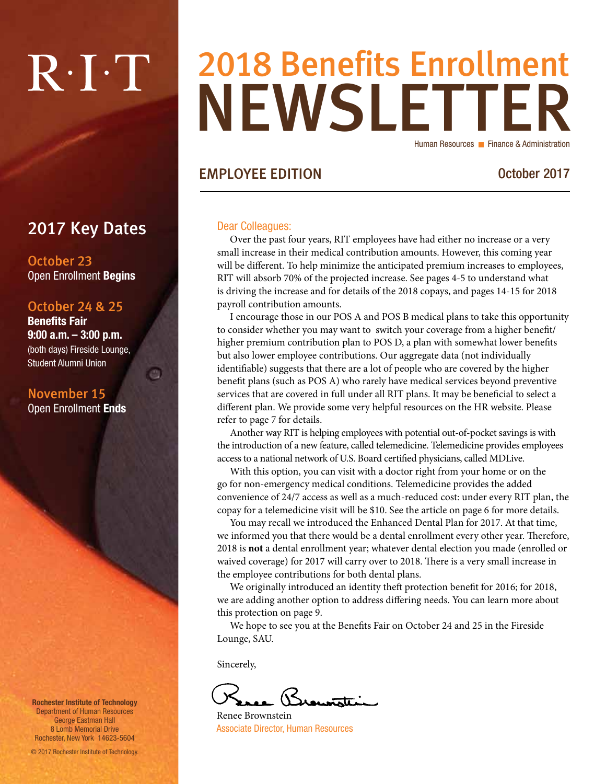# $R \cdot I \cdot T$

### NEWSLETTER 2018 Benefits Enrollment Human Resources **Finance & Administration**

#### EMPLOYEE EDITION October 2017

#### Dear Colleagues:

Over the past four years, RIT employees have had either no increase or a very small increase in their medical contribution amounts. However, this coming year will be different. To help minimize the anticipated premium increases to employees, RIT will absorb 70% of the projected increase. See pages 4-5 to understand what is driving the increase and for details of the 2018 copays, and pages 14-15 for 2018 payroll contribution amounts.

I encourage those in our POS A and POS B medical plans to take this opportunity to consider whether you may want to switch your coverage from a higher benefit/ higher premium contribution plan to POS D, a plan with somewhat lower benefits but also lower employee contributions. Our aggregate data (not individually identifiable) suggests that there are a lot of people who are covered by the higher benefit plans (such as POS A) who rarely have medical services beyond preventive services that are covered in full under all RIT plans. It may be beneficial to select a different plan. We provide some very helpful resources on the HR website. Please refer to page 7 for details.

Another way RIT is helping employees with potential out-of-pocket savings is with the introduction of a new feature, called telemedicine. Telemedicine provides employees access to a national network of U.S. Board certified physicians, called MDLive.

With this option, you can visit with a doctor right from your home or on the go for non-emergency medical conditions. Telemedicine provides the added convenience of 24/7 access as well as a much-reduced cost: under every RIT plan, the copay for a telemedicine visit will be \$10. See the article on page 6 for more details.

You may recall we introduced the Enhanced Dental Plan for 2017. At that time, we informed you that there would be a dental enrollment every other year. Therefore, 2018 is **not** a dental enrollment year; whatever dental election you made (enrolled or waived coverage) for 2017 will carry over to 2018. There is a very small increase in the employee contributions for both dental plans.

We originally introduced an identity theft protection benefit for 2016; for 2018, we are adding another option to address differing needs. You can learn more about this protection on page 9.

We hope to see you at the Benefits Fair on October 24 and 25 in the Fireside Lounge, SAU.

Sincerely,

Brownstei

Renee Brownstein Associate Director, Human Resources

2017 Key Dates

October 23 Open Enrollment Begins

#### October 24 & 25

Benefits Fair 9:00 a.m. – 3:00 p.m. (both days) Fireside Lounge, Student Alumni Union

画

November 15 Open Enrollment Ends

Rochester Institute of Technology Department of Human Resources George Eastman Hall 8 Lomb Memorial Drive Rochester, New York 14623-5604

© 2017 Rochester Institute of Technology.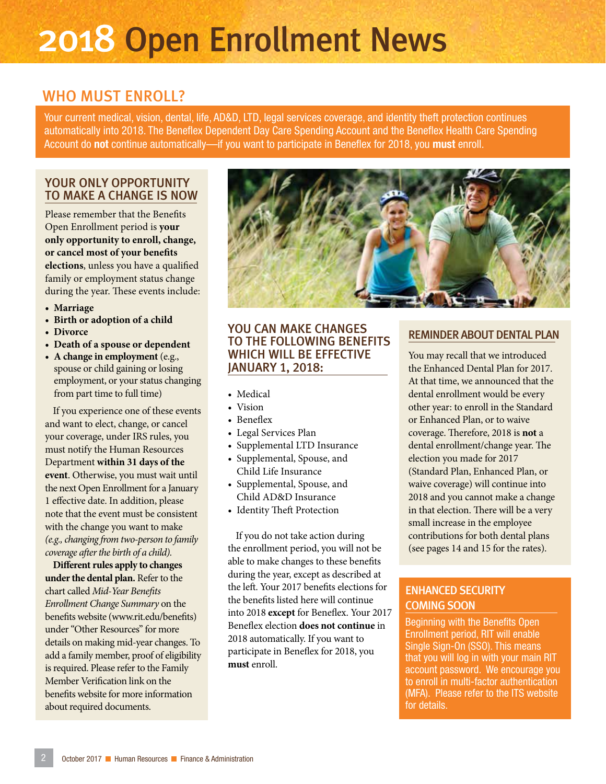## 2018 Open Enrollment News

### WHO MUST ENROLL?

Your current medical, vision, dental, life, AD&D, LTD, legal services coverage, and identity theft protection continues automatically into 2018. The Beneflex Dependent Day Care Spending Account and the Beneflex Health Care Spending Account do not continue automatically—if you want to participate in Beneflex for 2018, you must enroll.

#### YOUR ONLY OPPORTUNITY TO MAKE A CHANGE IS NOW

Please remember that the Benefits Open Enrollment period is **your only opportunity to enroll, change, or cancel most of your benefits elections**, unless you have a qualified family or employment status change during the year. These events include:

- **• Marriage**
- **• Birth or adoption of a child**
- **• Divorce**
- **• Death of a spouse or dependent**
- **• A change in employment** (e.g., spouse or child gaining or losing employment, or your status changing from part time to full time)

If you experience one of these events and want to elect, change, or cancel your coverage, under IRS rules, you must notify the Human Resources Department **within 31 days of the event**. Otherwise, you must wait until the next Open Enrollment for a January 1 effective date. In addition, please note that the event must be consistent with the change you want to make *(e.g., changing from two-person to family coverage after the birth of a child).* 

**Different rules apply to changes under the dental plan.** Refer to the chart called *Mid-Year Benefits Enrollment Change Summary* on the benefits website (www.rit.edu/benefits) under "Other Resources" for more details on making mid-year changes. To add a family member, proof of eligibility is required. Please refer to the Family Member Verification link on the benefits website for more information about required documents.



#### YOU CAN MAKE CHANGES TO THE FOLLOWING BENEFITS WHICH WILL BE EFFECTIVE JANUARY 1, 2018:

- Medical
- Vision
- Beneflex
- Legal Services Plan
- Supplemental LTD Insurance
- Supplemental, Spouse, and Child Life Insurance
- Supplemental, Spouse, and Child AD&D Insurance
- Identity Theft Protection

If you do not take action during the enrollment period, you will not be able to make changes to these benefits during the year, except as described at the left. Your 2017 benefits elections for the benefits listed here will continue into 2018 **except** for Beneflex. Your 2017 Beneflex election **does not continue** in 2018 automatically. If you want to participate in Beneflex for 2018, you **must** enroll.

#### REMINDER ABOUT DENTAL PLAN

You may recall that we introduced the Enhanced Dental Plan for 2017. At that time, we announced that the dental enrollment would be every other year: to enroll in the Standard or Enhanced Plan, or to waive coverage. Therefore, 2018 is **not** a dental enrollment/change year. The election you made for 2017 (Standard Plan, Enhanced Plan, or waive coverage) will continue into 2018 and you cannot make a change in that election. There will be a very small increase in the employee contributions for both dental plans (see pages 14 and 15 for the rates).

#### ENHANCED SECURITY COMING SOON

Beginning with the Benefits Open Enrollment period, RIT will enable Single Sign-On (SSO). This means that you will log in with your main RIT account password. We encourage you to enroll in multi-factor authentication (MFA). Please refer to the ITS website for details.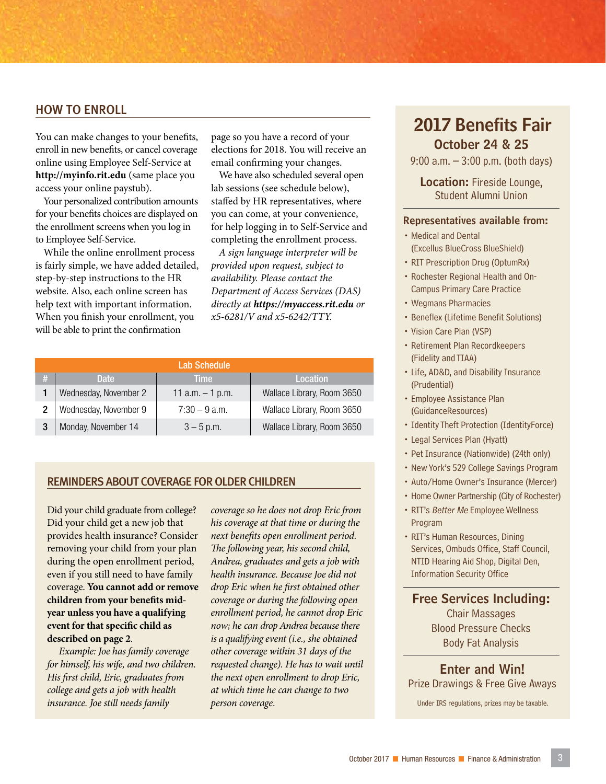#### HOW TO ENROLL

You can make changes to your benefits, enroll in new benefits, or cancel coverage online using Employee Self-Service at **http://myinfo.rit.edu** (same place you access your online paystub).

Your personalized contribution amounts for your benefits choices are displayed on the enrollment screens when you log in to Employee Self-Service.

While the online enrollment process is fairly simple, we have added detailed, step-by-step instructions to the HR website. Also, each online screen has help text with important information. When you finish your enrollment, you will be able to print the confirmation

page so you have a record of your elections for 2018. You will receive an email confirming your changes.

We have also scheduled several open lab sessions (see schedule below), staffed by HR representatives, where you can come, at your convenience, for help logging in to Self-Service and completing the enrollment process.

*A sign language interpreter will be provided upon request, subject to availability. Please contact the Department of Access Services (DAS) directly at https://myaccess.rit.edu or x5-6281/V and x5-6242/TTY.*

| Lab Schedule |                       |                    |                            |  |  |  |  |
|--------------|-----------------------|--------------------|----------------------------|--|--|--|--|
| #            | Date:                 | <b>Time</b>        | Location                   |  |  |  |  |
|              | Wednesday, November 2 | 11 $a.m. - 1 p.m.$ | Wallace Library, Room 3650 |  |  |  |  |
|              | Wednesday, November 9 | $7:30 - 9$ a.m.    | Wallace Library, Room 3650 |  |  |  |  |
|              | Monday, November 14   | $3 - 5$ p.m.       | Wallace Library, Room 3650 |  |  |  |  |

#### REMINDERS ABOUT COVERAGE FOR OLDER CHILDREN

Did your child graduate from college? Did your child get a new job that provides health insurance? Consider removing your child from your plan during the open enrollment period, even if you still need to have family coverage. **You cannot add or remove children from your benefits midyear unless you have a qualifying event for that specific child as described on page 2**.

*Example: Joe has family coverage for himself, his wife, and two children. His first child, Eric, graduates from college and gets a job with health insurance. Joe still needs family* 

*coverage so he does not drop Eric from his coverage at that time or during the next benefits open enrollment period. The following year, his second child, Andrea, graduates and gets a job with health insurance. Because Joe did not drop Eric when he first obtained other coverage or during the following open enrollment period, he cannot drop Eric now; he can drop Andrea because there is a qualifying event (i.e., she obtained other coverage within 31 days of the requested change). He has to wait until the next open enrollment to drop Eric, at which time he can change to two person coverage.* Under IRS regulations, prizes may be taxable.

#### October 24 & 25 2017 Benefits Fair

9:00 a.m. – 3:00 p.m. (both days)

Location: Fireside Lounge, Student Alumni Union

#### Representatives available from:

- Medical and Dental (Excellus BlueCross BlueShield)
- RIT Prescription Drug (OptumRx)
- Rochester Regional Health and On-Campus Primary Care Practice
- Wegmans Pharmacies
- Beneflex (Lifetime Benefit Solutions)
- Vision Care Plan (VSP)
- Retirement Plan Recordkeepers (Fidelity and TIAA)
- Life, AD&D, and Disability Insurance (Prudential)
- Employee Assistance Plan (GuidanceResources)
- Identity Theft Protection (IdentityForce)
- Legal Services Plan (Hyatt)
- Pet Insurance (Nationwide) (24th only)
- New York's 529 College Savings Program
- Auto/Home Owner's Insurance (Mercer)
- Home Owner Partnership (City of Rochester) • RIT's Better Me Employee Wellness
- Program
- RIT's Human Resources, Dining Services, Ombuds Office, Staff Council, NTID Hearing Aid Shop, Digital Den, Information Security Office

Free Services Including:

Chair Massages Blood Pressure Checks Body Fat Analysis

Enter and Win! Prize Drawings & Free Give Aways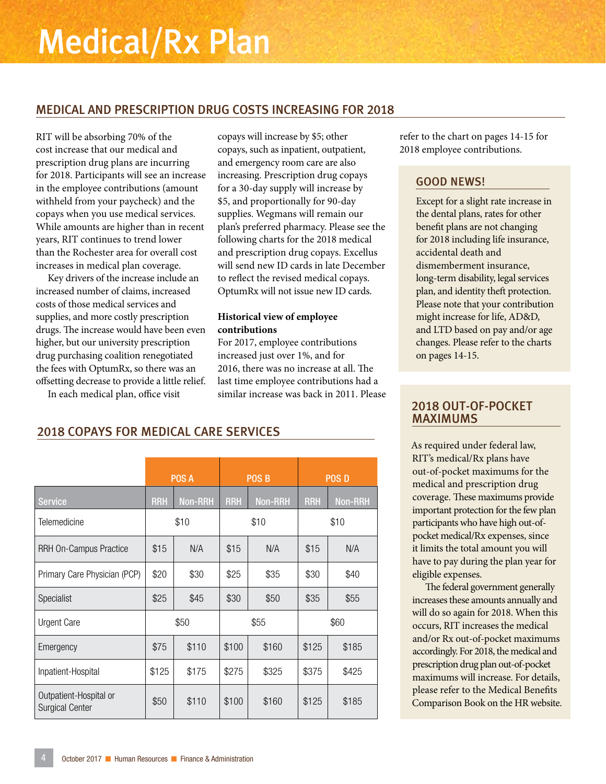#### MEDICAL AND PRESCRIPTION DRUG COSTS INCREASING FOR 2018

RIT will be absorbing 70% of the cost increase that our medical and prescription drug plans are incurring for 2018. Participants will see an increase in the employee contributions (amount withheld from your paycheck) and the copays when you use medical services. While amounts are higher than in recent years, RIT continues to trend lower than the Rochester area for overall cost increases in medical plan coverage.

Key drivers of the increase include an increased number of claims, increased costs of those medical services and supplies, and more costly prescription drugs. The increase would have been even higher, but our university prescription drug purchasing coalition renegotiated the fees with OptumRx, so there was an offsetting decrease to provide a little relief.

In each medical plan, office visit

copays will increase by \$5; other copays, such as inpatient, outpatient, and emergency room care are also increasing. Prescription drug copays for a 30-day supply will increase by \$5, and proportionally for 90-day supplies. Wegmans will remain our plan's preferred pharmacy. Please see the following charts for the 2018 medical and prescription drug copays. Excellus will send new ID cards in late December to reflect the revised medical copays. OptumRx will not issue new ID cards.

#### **Historical view of employee contributions**

For 2017, employee contributions increased just over 1%, and for 2016, there was no increase at all. The last time employee contributions had a similar increase was back in 2011. Please refer to the chart on pages 14-15 for 2018 employee contributions.

#### GOOD NEWS!

Except for a slight rate increase in the dental plans, rates for other benefit plans are not changing for 2018 including life insurance, accidental death and dismemberment insurance, long-term disability, legal services plan, and identity theft protection. Please note that your contribution might increase for life, AD&D, and LTD based on pay and/or age changes. Please refer to the charts on pages 14-15.

#### 2018 OUT-OF-POCKET MAXIMUMS

As required under federal law, RIT's medical/Rx plans have out-of-pocket maximums for the medical and prescription drug coverage. These maximums provide important protection for the few plan participants who have high out-ofpocket medical/Rx expenses, since it limits the total amount you will have to pay during the plan year for eligible expenses.

The federal government generally increases these amounts annually and will do so again for 2018. When this occurs, RIT increases the medical and/or Rx out-of-pocket maximums accordingly. For 2018, the medical and prescription drug plan out-of-pocket maximums will increase. For details, please refer to the Medical Benefits Comparison Book on the HR website.

#### 2018 COPAYS FOR MEDICAL CARE SERVICES

|                                                  | POS A                        |       | <b>POS B</b> |                |            | <b>POS D</b>   |
|--------------------------------------------------|------------------------------|-------|--------------|----------------|------------|----------------|
| <b>Service</b>                                   | <b>Non-RRH</b><br><b>RRH</b> |       | <b>RRH</b>   | <b>Non-RRH</b> | <b>RRH</b> | <b>Non-RRH</b> |
| Telemedicine                                     | \$10                         |       | \$10         |                | \$10       |                |
| RRH On-Campus Practice                           | \$15                         | N/A   |              | N/A            | \$15       | N/A            |
| Primary Care Physician (PCP)                     | \$20                         | \$30  | \$25         | \$35           | \$30       | \$40           |
| <b>Specialist</b>                                | \$25                         | \$45  | \$30         | \$50           | \$35       | \$55           |
| Urgent Care                                      | \$50                         |       | \$55         |                | \$60       |                |
| Emergency                                        | \$75                         | \$110 | \$100        | \$160          | \$125      | \$185          |
| Inpatient-Hospital                               | \$125                        | \$175 | \$275        | \$325          | \$375      | \$425          |
| Outpatient-Hospital or<br><b>Surgical Center</b> | \$50                         | \$110 | \$100        | \$160          | \$125      | \$185          |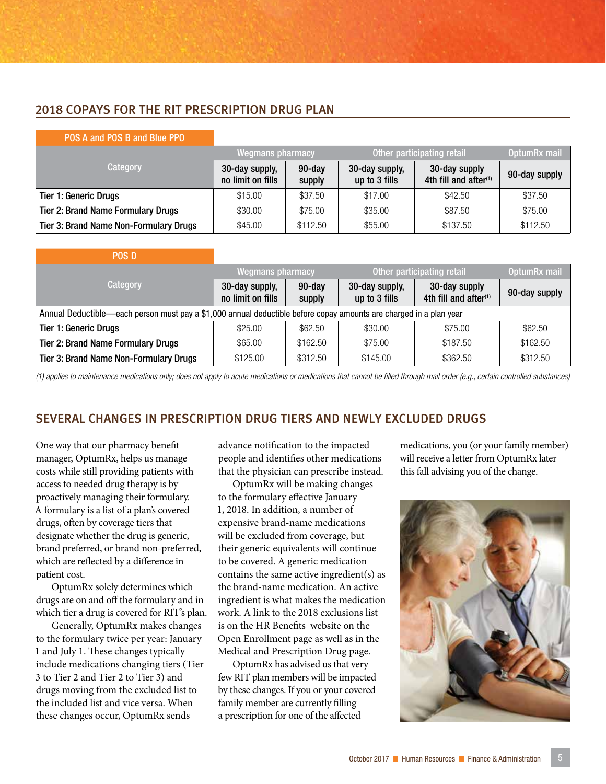#### 2018 COPAYS FOR THE RIT PRESCRIPTION DRUG PLAN

| POS A and POS B and Blue PPO              |                                     |                     |                                 |                                                    |               |
|-------------------------------------------|-------------------------------------|---------------------|---------------------------------|----------------------------------------------------|---------------|
|                                           | Wegmans pharmacy                    |                     | Other participating retail      |                                                    | OptumRx mail  |
| Category                                  | 30-day supply,<br>no limit on fills | $90$ -day<br>supply | 30-day supply,<br>up to 3 fills | 30-day supply<br>4th fill and after <sup>(1)</sup> | 90-day supply |
| <b>Tier 1: Generic Drugs</b>              | \$15.00                             | \$37.50             | \$17.00                         | \$42.50                                            | \$37.50       |
| <b>Tier 2: Brand Name Formulary Drugs</b> | \$30.00                             | \$75.00             | \$35.00                         | \$87.50                                            | \$75.00       |
| Tier 3: Brand Name Non-Formulary Drugs    | \$45.00                             | \$112.50            | \$55.00                         | \$137.50                                           | \$112.50      |

| <b>POS D</b>                                                                                                       |                                     |                     |                                 |                                                    |               |  |
|--------------------------------------------------------------------------------------------------------------------|-------------------------------------|---------------------|---------------------------------|----------------------------------------------------|---------------|--|
|                                                                                                                    | Wegmans pharmacy                    |                     | Other participating retail      | OptumRx mail                                       |               |  |
| Category                                                                                                           | 30-day supply,<br>no limit on fills | $90$ -day<br>supply | 30-day supply,<br>up to 3 fills | 30-day supply<br>4th fill and after <sup>(1)</sup> | 90-day supply |  |
| Annual Deductible—each person must pay a \$1,000 annual deductible before copay amounts are charged in a plan year |                                     |                     |                                 |                                                    |               |  |
| <b>Tier 1: Generic Drugs</b>                                                                                       | \$25.00                             | \$62.50             | \$30.00                         | \$75.00                                            | \$62.50       |  |
| <b>Tier 2: Brand Name Formulary Drugs</b>                                                                          | \$65.00                             | \$162.50            | \$75.00                         | \$187.50                                           | \$162.50      |  |
| Tier 3: Brand Name Non-Formulary Drugs                                                                             | \$125.00                            | \$312.50            | \$145.00                        | \$362.50                                           | \$312.50      |  |

*(1) applies to maintenance medications only; does not apply to acute medications or medications that cannot be filled through mail order (e.g., certain controlled substances)*

#### SEVERAL CHANGES IN PRESCRIPTION DRUG TIERS AND NEWLY EXCLUDED DRUGS

One way that our pharmacy benefit manager, OptumRx, helps us manage costs while still providing patients with access to needed drug therapy is by proactively managing their formulary. A formulary is a list of a plan's covered drugs, often by coverage tiers that designate whether the drug is generic, brand preferred, or brand non-preferred, which are reflected by a difference in patient cost.

OptumRx solely determines which drugs are on and off the formulary and in which tier a drug is covered for RIT's plan.

Generally, OptumRx makes changes to the formulary twice per year: January 1 and July 1. These changes typically include medications changing tiers (Tier 3 to Tier 2 and Tier 2 to Tier 3) and drugs moving from the excluded list to the included list and vice versa. When these changes occur, OptumRx sends

advance notification to the impacted people and identifies other medications that the physician can prescribe instead.

OptumRx will be making changes to the formulary effective January 1, 2018. In addition, a number of expensive brand-name medications will be excluded from coverage, but their generic equivalents will continue to be covered. A generic medication contains the same active ingredient(s) as the brand-name medication. An active ingredient is what makes the medication work. A link to the 2018 exclusions list is on the HR Benefits website on the Open Enrollment page as well as in the Medical and Prescription Drug page.

OptumRx has advised us that very few RIT plan members will be impacted by these changes. If you or your covered family member are currently filling a prescription for one of the affected

medications, you (or your family member) will receive a letter from OptumRx later this fall advising you of the change.

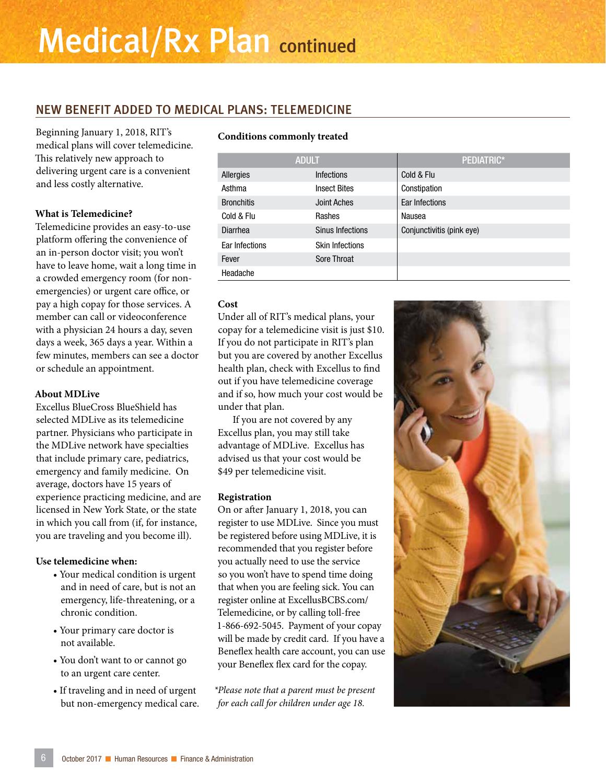#### NEW BENEFIT ADDED TO MEDICAL PLANS: TELEMEDICINE

Beginning January 1, 2018, RIT's medical plans will cover telemedicine. This relatively new approach to delivering urgent care is a convenient and less costly alternative.

#### **What is Telemedicine?**

Telemedicine provides an easy-to-use platform offering the convenience of an in-person doctor visit; you won't have to leave home, wait a long time in a crowded emergency room (for nonemergencies) or urgent care office, or pay a high copay for those services. A member can call or videoconference with a physician 24 hours a day, seven days a week, 365 days a year. Within a few minutes, members can see a doctor or schedule an appointment.

#### **About MDLive**

Excellus BlueCross BlueShield has selected MDLive as its telemedicine partner. Physicians who participate in the MDLive network have specialties that include primary care, pediatrics, emergency and family medicine. On average, doctors have 15 years of experience practicing medicine, and are licensed in New York State, or the state in which you call from (if, for instance, you are traveling and you become ill).

#### **Use telemedicine when:**

- Your medical condition is urgent and in need of care, but is not an emergency, life-threatening, or a chronic condition.
- Your primary care doctor is not available.
- You don't want to or cannot go to an urgent care center.
- If traveling and in need of urgent but non-emergency medical care.

#### **Conditions commonly treated**

| <b>ADULT</b>      |                        | PEDIATRIC*                |  |  |
|-------------------|------------------------|---------------------------|--|--|
| Allergies         | <b>Infections</b>      | Cold & Flu                |  |  |
| Asthma            | <b>Insect Bites</b>    | Constipation              |  |  |
| <b>Bronchitis</b> | <b>Joint Aches</b>     | Ear Infections            |  |  |
| Cold & Flu        | Rashes                 | Nausea                    |  |  |
| Diarrhea          | Sinus Infections       | Conjunctivitis (pink eye) |  |  |
| Ear Infections    | <b>Skin Infections</b> |                           |  |  |
| Fever             | Sore Throat            |                           |  |  |
| Headache          |                        |                           |  |  |

#### **Cost**

Under all of RIT's medical plans, your copay for a telemedicine visit is just \$10. If you do not participate in RIT's plan but you are covered by another Excellus health plan, check with Excellus to find out if you have telemedicine coverage and if so, how much your cost would be under that plan.

If you are not covered by any Excellus plan, you may still take advantage of MDLive. Excellus has advised us that your cost would be \$49 per telemedicine visit.

#### **Registration**

On or after January 1, 2018, you can register to use MDLive. Since you must be registered before using MDLive, it is recommended that you register before you actually need to use the service so you won't have to spend time doing that when you are feeling sick. You can register online at ExcellusBCBS.com/ Telemedicine, or by calling toll-free 1-866-692-5045. Payment of your copay will be made by credit card. If you have a Beneflex health care account, you can use your Beneflex flex card for the copay.

*\*Please note that a parent must be present for each call for children under age 18.*

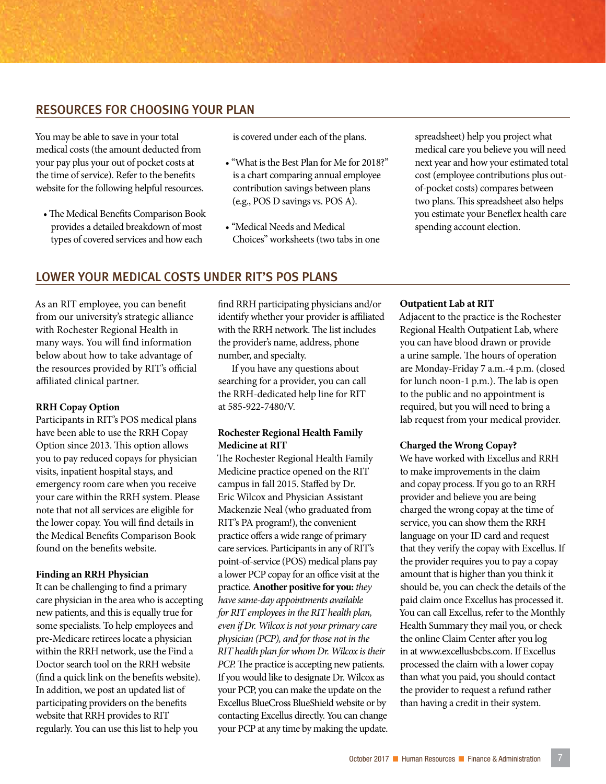#### RESOURCES FOR CHOOSING YOUR PLAN

You may be able to save in your total medical costs (the amount deducted from your pay plus your out of pocket costs at the time of service). Refer to the benefits website for the following helpful resources.

• The Medical Benefits Comparison Book provides a detailed breakdown of most types of covered services and how each

is covered under each of the plans.

- "What is the Best Plan for Me for 2018?" is a chart comparing annual employee contribution savings between plans (e.g., POS D savings vs. POS A).
- "Medical Needs and Medical Choices" worksheets (two tabs in one

spreadsheet) help you project what medical care you believe you will need next year and how your estimated total cost (employee contributions plus outof-pocket costs) compares between two plans. This spreadsheet also helps you estimate your Beneflex health care spending account election.

#### LOWER YOUR MEDICAL COSTS UNDER RIT'S POS PLANS

As an RIT employee, you can benefit from our university's strategic alliance with Rochester Regional Health in many ways. You will find information below about how to take advantage of the resources provided by RIT's official affiliated clinical partner.

#### **RRH Copay Option**

Participants in RIT's POS medical plans have been able to use the RRH Copay Option since 2013. This option allows you to pay reduced copays for physician visits, inpatient hospital stays, and emergency room care when you receive your care within the RRH system. Please note that not all services are eligible for the lower copay. You will find details in the Medical Benefits Comparison Book found on the benefits website.

#### **Finding an RRH Physician**

It can be challenging to find a primary care physician in the area who is accepting new patients, and this is equally true for some specialists. To help employees and pre-Medicare retirees locate a physician within the RRH network, use the Find a Doctor search tool on the RRH website (find a quick link on the benefits website). In addition, we post an updated list of participating providers on the benefits website that RRH provides to RIT regularly. You can use this list to help you

find RRH participating physicians and/or identify whether your provider is affiliated with the RRH network. The list includes the provider's name, address, phone number, and specialty.

If you have any questions about searching for a provider, you can call the RRH-dedicated help line for RIT at 585-922-7480/V.

#### **Rochester Regional Health Family Medicine at RIT**

The Rochester Regional Health Family Medicine practice opened on the RIT campus in fall 2015. Staffed by Dr. Eric Wilcox and Physician Assistant Mackenzie Neal (who graduated from RIT's PA program!), the convenient practice offers a wide range of primary care services. Participants in any of RIT's point-of-service (POS) medical plans pay a lower PCP copay for an office visit at the practice. **Another positive for you:** *they have same-day appointments available for RIT employees in the RIT health plan, even if Dr. Wilcox is not your primary care physician (PCP), and for those not in the RIT health plan for whom Dr. Wilcox is their PCP.* The practice is accepting new patients. If you would like to designate Dr. Wilcox as your PCP, you can make the update on the Excellus BlueCross BlueShield website or by contacting Excellus directly. You can change your PCP at any time by making the update.

#### **Outpatient Lab at RIT**

Adjacent to the practice is the Rochester Regional Health Outpatient Lab, where you can have blood drawn or provide a urine sample. The hours of operation are Monday-Friday 7 a.m.-4 p.m. (closed for lunch noon-1 p.m.). The lab is open to the public and no appointment is required, but you will need to bring a lab request from your medical provider.

#### **Charged the Wrong Copay?**

We have worked with Excellus and RRH to make improvements in the claim and copay process. If you go to an RRH provider and believe you are being charged the wrong copay at the time of service, you can show them the RRH language on your ID card and request that they verify the copay with Excellus. If the provider requires you to pay a copay amount that is higher than you think it should be, you can check the details of the paid claim once Excellus has processed it. You can call Excellus, refer to the Monthly Health Summary they mail you, or check the online Claim Center after you log in at www.excellusbcbs.com. If Excellus processed the claim with a lower copay than what you paid, you should contact the provider to request a refund rather than having a credit in their system.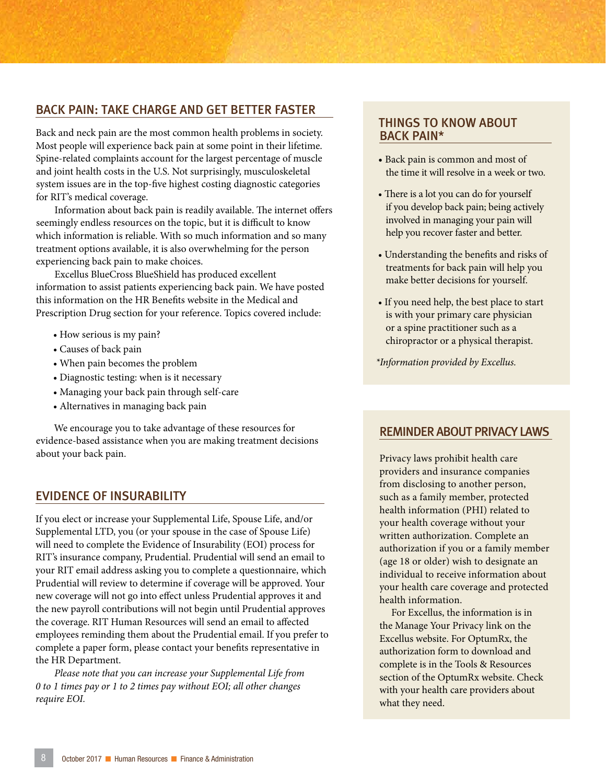#### BACK PAIN: TAKE CHARGE AND GET BETTER FASTER

Back and neck pain are the most common health problems in society. Most people will experience back pain at some point in their lifetime. Spine-related complaints account for the largest percentage of muscle and joint health costs in the U.S. Not surprisingly, musculoskeletal system issues are in the top-five highest costing diagnostic categories for RIT's medical coverage.

Information about back pain is readily available. The internet offers seemingly endless resources on the topic, but it is difficult to know which information is reliable. With so much information and so many treatment options available, it is also overwhelming for the person experiencing back pain to make choices.

Excellus BlueCross BlueShield has produced excellent information to assist patients experiencing back pain. We have posted this information on the HR Benefits website in the Medical and Prescription Drug section for your reference. Topics covered include:

- How serious is my pain?
- Causes of back pain
- When pain becomes the problem
- Diagnostic testing: when is it necessary
- Managing your back pain through self-care
- Alternatives in managing back pain

We encourage you to take advantage of these resources for evidence-based assistance when you are making treatment decisions about your back pain.

#### EVIDENCE OF INSURABILITY

If you elect or increase your Supplemental Life, Spouse Life, and/or Supplemental LTD, you (or your spouse in the case of Spouse Life) will need to complete the Evidence of Insurability (EOI) process for RIT's insurance company, Prudential. Prudential will send an email to your RIT email address asking you to complete a questionnaire, which Prudential will review to determine if coverage will be approved. Your new coverage will not go into effect unless Prudential approves it and the new payroll contributions will not begin until Prudential approves the coverage. RIT Human Resources will send an email to affected employees reminding them about the Prudential email. If you prefer to complete a paper form, please contact your benefits representative in the HR Department.

*Please note that you can increase your Supplemental Life from 0 to 1 times pay or 1 to 2 times pay without EOI; all other changes require EOI.*

#### THINGS TO KNOW ABOUT BACK PAIN\*

- Back pain is common and most of the time it will resolve in a week or two.
- There is a lot you can do for yourself if you develop back pain; being actively involved in managing your pain will help you recover faster and better.
- Understanding the benefits and risks of treatments for back pain will help you make better decisions for yourself.
- If you need help, the best place to start is with your primary care physician or a spine practitioner such as a chiropractor or a physical therapist.

*\*Information provided by Excellus.*

#### REMINDER ABOUT PRIVACY LAWS

Privacy laws prohibit health care providers and insurance companies from disclosing to another person, such as a family member, protected health information (PHI) related to your health coverage without your written authorization. Complete an authorization if you or a family member (age 18 or older) wish to designate an individual to receive information about your health care coverage and protected health information.

For Excellus, the information is in the Manage Your Privacy link on the Excellus website. For OptumRx, the authorization form to download and complete is in the Tools & Resources section of the OptumRx website. Check with your health care providers about what they need.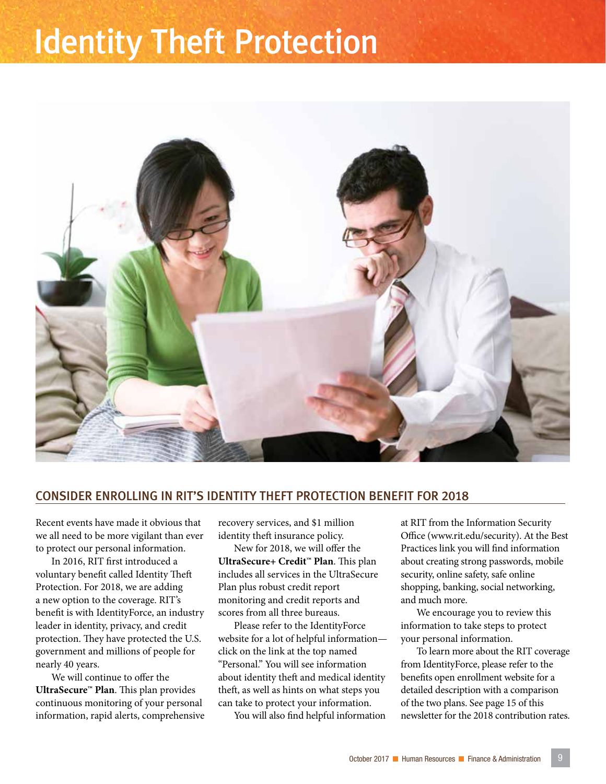### Identity Theft Protection



#### CONSIDER ENROLLING IN RIT'S IDENTITY THEFT PROTECTION BENEFIT FOR 2018

Recent events have made it obvious that we all need to be more vigilant than ever to protect our personal information.

In 2016, RIT first introduced a voluntary benefit called Identity Theft Protection. For 2018, we are adding a new option to the coverage. RIT's benefit is with IdentityForce, an industry leader in identity, privacy, and credit protection. They have protected the U.S. government and millions of people for nearly 40 years.

We will continue to offer the **UltraSecure™ Plan**. This plan provides continuous monitoring of your personal information, rapid alerts, comprehensive recovery services, and \$1 million identity theft insurance policy.

New for 2018, we will offer the **UltraSecure+ Credit™ Plan**. This plan includes all services in the UltraSecure Plan plus robust credit report monitoring and credit reports and scores from all three bureaus.

Please refer to the IdentityForce website for a lot of helpful information click on the link at the top named "Personal." You will see information about identity theft and medical identity theft, as well as hints on what steps you can take to protect your information.

You will also find helpful information

at RIT from the Information Security Office (www.rit.edu/security). At the Best Practices link you will find information about creating strong passwords, mobile security, online safety, safe online shopping, banking, social networking, and much more.

We encourage you to review this information to take steps to protect your personal information.

To learn more about the RIT coverage from IdentityForce, please refer to the benefits open enrollment website for a detailed description with a comparison of the two plans. See page 15 of this newsletter for the 2018 contribution rates.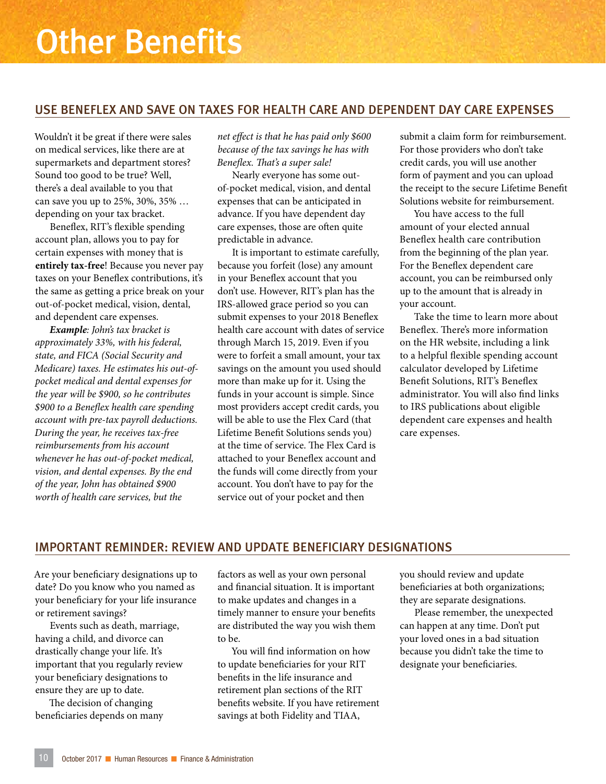#### USE BENEFLEX AND SAVE ON TAXES FOR HEALTH CARE AND DEPENDENT DAY CARE EXPENSES

Wouldn't it be great if there were sales on medical services, like there are at supermarkets and department stores? Sound too good to be true? Well, there's a deal available to you that can save you up to 25%, 30%, 35% … depending on your tax bracket.

Beneflex, RIT's flexible spending account plan, allows you to pay for certain expenses with money that is **entirely tax-free**! Because you never pay taxes on your Beneflex contributions, it's the same as getting a price break on your out-of-pocket medical, vision, dental, and dependent care expenses.

*Example: John's tax bracket is approximately 33%, with his federal, state, and FICA (Social Security and Medicare) taxes. He estimates his out-ofpocket medical and dental expenses for the year will be \$900, so he contributes \$900 to a Beneflex health care spending account with pre-tax payroll deductions. During the year, he receives tax-free reimbursements from his account whenever he has out-of-pocket medical, vision, and dental expenses. By the end of the year, John has obtained \$900 worth of health care services, but the* 

*net effect is that he has paid only \$600 because of the tax savings he has with Beneflex. That's a super sale!*

Nearly everyone has some outof-pocket medical, vision, and dental expenses that can be anticipated in advance. If you have dependent day care expenses, those are often quite predictable in advance.

It is important to estimate carefully, because you forfeit (lose) any amount in your Beneflex account that you don't use. However, RIT's plan has the IRS-allowed grace period so you can submit expenses to your 2018 Beneflex health care account with dates of service through March 15, 2019. Even if you were to forfeit a small amount, your tax savings on the amount you used should more than make up for it. Using the funds in your account is simple. Since most providers accept credit cards, you will be able to use the Flex Card (that Lifetime Benefit Solutions sends you) at the time of service. The Flex Card is attached to your Beneflex account and the funds will come directly from your account. You don't have to pay for the service out of your pocket and then

submit a claim form for reimbursement. For those providers who don't take credit cards, you will use another form of payment and you can upload the receipt to the secure Lifetime Benefit Solutions website for reimbursement.

You have access to the full amount of your elected annual Beneflex health care contribution from the beginning of the plan year. For the Beneflex dependent care account, you can be reimbursed only up to the amount that is already in your account.

Take the time to learn more about Beneflex. There's more information on the HR website, including a link to a helpful flexible spending account calculator developed by Lifetime Benefit Solutions, RIT's Beneflex administrator. You will also find links to IRS publications about eligible dependent care expenses and health care expenses.

#### IMPORTANT REMINDER: REVIEW AND UPDATE BENEFICIARY DESIGNATIONS

Are your beneficiary designations up to date? Do you know who you named as your beneficiary for your life insurance or retirement savings?

Events such as death, marriage, having a child, and divorce can drastically change your life. It's important that you regularly review your beneficiary designations to ensure they are up to date.

The decision of changing beneficiaries depends on many factors as well as your own personal and financial situation. It is important to make updates and changes in a timely manner to ensure your benefits are distributed the way you wish them to be.

You will find information on how to update beneficiaries for your RIT benefits in the life insurance and retirement plan sections of the RIT benefits website. If you have retirement savings at both Fidelity and TIAA,

you should review and update beneficiaries at both organizations; they are separate designations.

Please remember, the unexpected can happen at any time. Don't put your loved ones in a bad situation because you didn't take the time to designate your beneficiaries.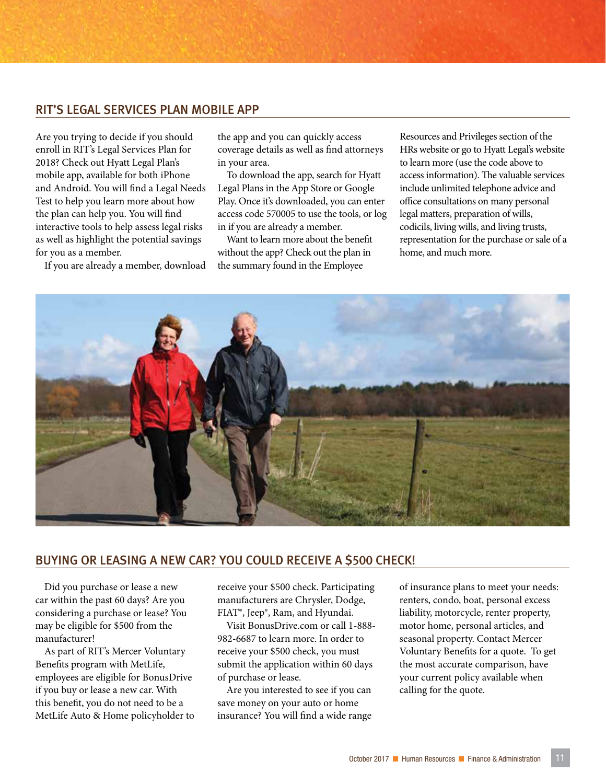#### RIT'S LEGAL SERVICES PLAN MOBILE APP

Are you trying to decide if you should enroll in RIT's Legal Services Plan for 2018? Check out Hyatt Legal Plan's mobile app, available for both iPhone and Android. You will find a Legal Needs Test to help you learn more about how the plan can help you. You will find interactive tools to help assess legal risks as well as highlight the potential savings for you as a member.

If you are already a member, download

the app and you can quickly access coverage details as well as find attorneys in your area.

To download the app, search for Hyatt Legal Plans in the App Store or Google Play. Once it's downloaded, you can enter access code 570005 to use the tools, or log in if you are already a member.

Want to learn more about the benefit without the app? Check out the plan in the summary found in the Employee

Resources and Privileges section of the HRs website or go to Hyatt Legal's website to learn more (use the code above to access information). The valuable services include unlimited telephone advice and office consultations on many personal legal matters, preparation of wills, codicils, living wills, and living trusts, representation for the purchase or sale of a home, and much more.



#### BUYING OR LEASING A NEW CAR? YOU COULD RECEIVE A \$500 CHECK!

Did you purchase or lease a new car within the past 60 days? Are you considering a purchase or lease? You may be eligible for \$500 from the manufacturer!

As part of RIT's Mercer Voluntary Benefits program with MetLife, employees are eligible for BonusDrive if you buy or lease a new car. With this benefit, you do not need to be a MetLife Auto & Home policyholder to receive your \$500 check. Participating manufacturers are Chrysler, Dodge, FIAT®, Jeep®, Ram, and Hyundai.

Visit BonusDrive.com or call 1-888- 982-6687 to learn more. In order to receive your \$500 check, you must submit the application within 60 days of purchase or lease.

Are you interested to see if you can save money on your auto or home insurance? You will find a wide range of insurance plans to meet your needs: renters, condo, boat, personal excess liability, motorcycle, renter property, motor home, personal articles, and seasonal property. Contact Mercer Voluntary Benefits for a quote. To get the most accurate comparison, have your current policy available when calling for the quote.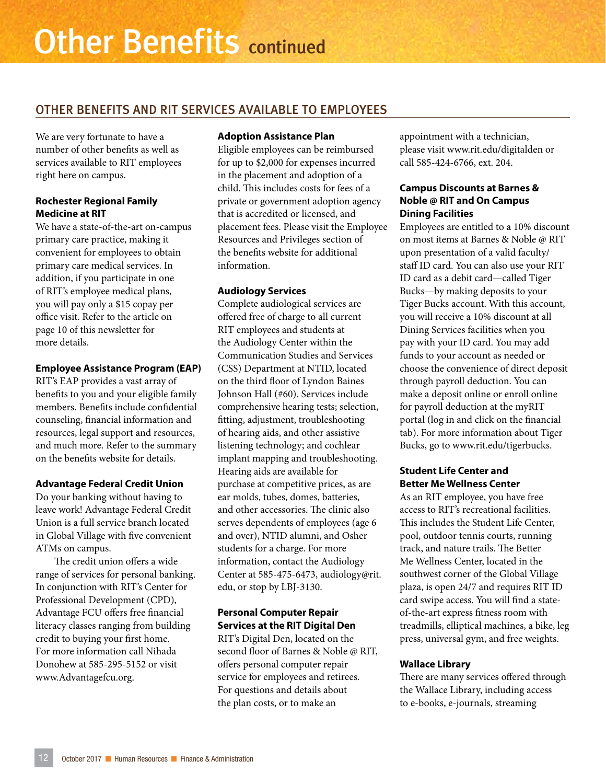#### OTHER BENEFITS AND RIT SERVICES AVAILABLE TO EMPLOYEES

We are very fortunate to have a number of other benefits as well as services available to RIT employees right here on campus.

#### **Rochester Regional Family Medicine at RIT**

We have a state-of-the-art on-campus primary care practice, making it convenient for employees to obtain primary care medical services. In addition, if you participate in one of RIT's employee medical plans, you will pay only a \$15 copay per office visit. Refer to the article on page 10 of this newsletter for more details.

#### **Employee Assistance Program (EAP)**

RIT's EAP provides a vast array of benefits to you and your eligible family members. Benefits include confidential counseling, financial information and resources, legal support and resources, and much more. Refer to the summary on the benefits website for details.

#### **Advantage Federal Credit Union**

Do your banking without having to leave work! Advantage Federal Credit Union is a full service branch located in Global Village with five convenient ATMs on campus.

The credit union offers a wide range of services for personal banking. In conjunction with RIT's Center for Professional Development (CPD), Advantage FCU offers free financial literacy classes ranging from building credit to buying your first home. For more information call Nihada Donohew at 585-295-5152 or visit www.Advantagefcu.org.

#### **Adoption Assistance Plan**

Eligible employees can be reimbursed for up to \$2,000 for expenses incurred in the placement and adoption of a child. This includes costs for fees of a private or government adoption agency that is accredited or licensed, and placement fees. Please visit the Employee Resources and Privileges section of the benefits website for additional information.

#### **Audiology Services**

Complete audiological services are offered free of charge to all current RIT employees and students at the Audiology Center within the Communication Studies and Services (CSS) Department at NTID, located on the third floor of Lyndon Baines Johnson Hall (#60). Services include comprehensive hearing tests; selection, fitting, adjustment, troubleshooting of hearing aids, and other assistive listening technology; and cochlear implant mapping and troubleshooting. Hearing aids are available for purchase at competitive prices, as are ear molds, tubes, domes, batteries, and other accessories. The clinic also serves dependents of employees (age 6 and over), NTID alumni, and Osher students for a charge. For more information, contact the Audiology Center at 585-475-6473, audiology@rit. edu, or stop by LBJ-3130.

#### **Personal Computer Repair Services at the RIT Digital Den**

RIT's Digital Den, located on the second floor of Barnes & Noble @ RIT, offers personal computer repair service for employees and retirees. For questions and details about the plan costs, or to make an

appointment with a technician, please visit www.rit.edu/digitalden or call 585-424-6766, ext. 204.

#### **Campus Discounts at Barnes & Noble @ RIT and On Campus Dining Facilities**

Employees are entitled to a 10% discount on most items at Barnes & Noble @ RIT upon presentation of a valid faculty/ staff ID card. You can also use your RIT ID card as a debit card—called Tiger Bucks—by making deposits to your Tiger Bucks account. With this account, you will receive a 10% discount at all Dining Services facilities when you pay with your ID card. You may add funds to your account as needed or choose the convenience of direct deposit through payroll deduction. You can make a deposit online or enroll online for payroll deduction at the myRIT portal (log in and click on the financial tab). For more information about Tiger Bucks, go to www.rit.edu/tigerbucks.

#### **Student Life Center and Better Me Wellness Center**

As an RIT employee, you have free access to RIT's recreational facilities. This includes the Student Life Center, pool, outdoor tennis courts, running track, and nature trails. The Better Me Wellness Center, located in the southwest corner of the Global Village plaza, is open 24/7 and requires RIT ID card swipe access. You will find a stateof-the-art express fitness room with treadmills, elliptical machines, a bike, leg press, universal gym, and free weights.

#### **Wallace Library**

There are many services offered through the Wallace Library, including access to e-books, e-journals, streaming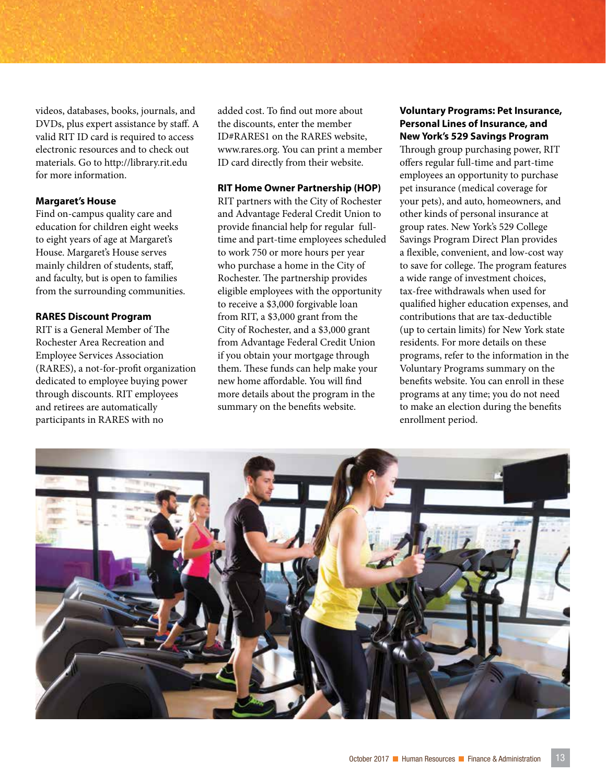videos, databases, books, journals, and DVDs, plus expert assistance by staff. A valid RIT ID card is required to access electronic resources and to check out materials. Go to http://library.rit.edu for more information.

#### **Margaret's House**

Find on-campus quality care and education for children eight weeks to eight years of age at Margaret's House. Margaret's House serves mainly children of students, staff, and faculty, but is open to families from the surrounding communities.

#### **RARES Discount Program**

RIT is a General Member of The Rochester Area Recreation and Employee Services Association (RARES), a not-for-profit organization dedicated to employee buying power through discounts. RIT employees and retirees are automatically participants in RARES with no

added cost. To find out more about the discounts, enter the member ID#RARES1 on the RARES website, www.rares.org. You can print a member ID card directly from their website.

#### **RIT Home Owner Partnership (HOP)**

RIT partners with the City of Rochester and Advantage Federal Credit Union to provide financial help for regular fulltime and part-time employees scheduled to work 750 or more hours per year who purchase a home in the City of Rochester. The partnership provides eligible employees with the opportunity to receive a \$3,000 forgivable loan from RIT, a \$3,000 grant from the City of Rochester, and a \$3,000 grant from Advantage Federal Credit Union if you obtain your mortgage through them. These funds can help make your new home affordable. You will find more details about the program in the summary on the benefits website.

#### **Voluntary Programs: Pet Insurance, Personal Lines of Insurance, and New York's 529 Savings Program**

Through group purchasing power, RIT offers regular full-time and part-time employees an opportunity to purchase pet insurance (medical coverage for your pets), and auto, homeowners, and other kinds of personal insurance at group rates. New York's 529 College Savings Program Direct Plan provides a flexible, convenient, and low-cost way to save for college. The program features a wide range of investment choices, tax-free withdrawals when used for qualified higher education expenses, and contributions that are tax-deductible (up to certain limits) for New York state residents. For more details on these programs, refer to the information in the Voluntary Programs summary on the benefits website. You can enroll in these programs at any time; you do not need to make an election during the benefits enrollment period.

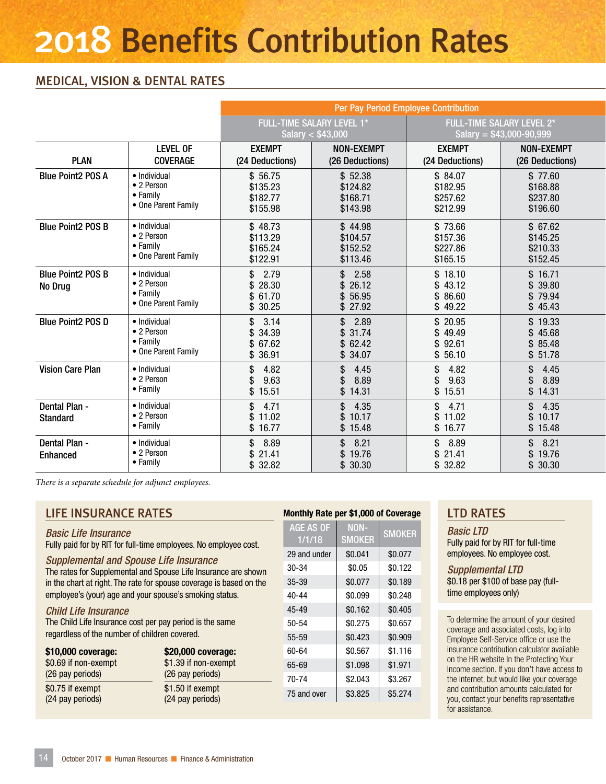### 2018 Benefits Contribution Rates

#### MEDICAL, VISION & DENTAL RATES

|                                     |                                                                       | Per Pay Period Employee Contribution        |                                                |                                             |                                                        |  |  |
|-------------------------------------|-----------------------------------------------------------------------|---------------------------------------------|------------------------------------------------|---------------------------------------------|--------------------------------------------------------|--|--|
|                                     |                                                                       |                                             | FULL-TIME SALARY LEVEL 1*<br>Salary < \$43,000 |                                             | FULL-TIME SALARY LEVEL 2*<br>Salary = $$43,000-90,999$ |  |  |
| <b>PLAN</b>                         | <b>LEVEL OF</b><br><b>COVERAGE</b>                                    | <b>EXEMPT</b><br>(24 Deductions)            | <b>NON-EXEMPT</b><br>(26 Deductions)           | <b>EXEMPT</b><br>(24 Deductions)            | <b>NON-EXEMPT</b><br>(26 Deductions)                   |  |  |
| <b>Blue Point2 POS A</b>            | • Individual<br>• 2 Person<br>• Family<br>• One Parent Family         | \$56.75<br>\$135.23<br>\$182.77<br>\$155.98 | \$52.38<br>\$124.82<br>\$168.71<br>\$143.98    | \$84.07<br>\$182.95<br>\$257.62<br>\$212.99 | \$77.60<br>\$168.88<br>\$237.80<br>\$196.60            |  |  |
| <b>Blue Point2 POS B</b>            | · Individual<br>• 2 Person<br>$\bullet$ Family<br>• One Parent Family | \$48.73<br>\$113.29<br>\$165.24<br>\$122.91 | \$44.98<br>\$104.57<br>\$152.52<br>\$113.46    | \$73.66<br>\$157.36<br>\$227.86<br>\$165.15 | \$67.62<br>\$145.25<br>\$210.33<br>\$152.45            |  |  |
| <b>Blue Point2 POS B</b><br>No Drug | · Individual<br>• 2 Person<br>• Family<br>• One Parent Family         | \$2.79<br>\$28.30<br>\$61.70<br>\$30.25     | \$2.58<br>\$26.12<br>\$56.95<br>\$27.92        | \$18.10<br>\$43.12<br>\$86.60<br>\$49.22    | \$16.71<br>\$39.80<br>\$79.94<br>\$45.43               |  |  |
| <b>Blue Point2 POS D</b>            | • Individual<br>• 2 Person<br>• Family<br>• One Parent Family         | \$3.14<br>\$34.39<br>\$67.62<br>\$36.91     | \$2.89<br>\$31.74<br>\$62.42<br>\$34.07        | \$20.95<br>\$49.49<br>\$92.61<br>\$56.10    | \$19.33<br>\$45.68<br>\$85.48<br>\$51.78               |  |  |
| <b>Vision Care Plan</b>             | · Individual<br>• 2 Person<br>$\bullet$ Family                        | 4.82<br>\$<br>9.63<br>\$15.51               | 4.45<br>\$<br>8.89<br>\$14.31                  | 4.82<br>\$<br>9.63<br>\$.<br>\$15.51        | 4.45<br>\$<br>8.89<br>\$<br>\$14.31                    |  |  |
| Dental Plan -<br><b>Standard</b>    | • Individual<br>• 2 Person<br>$\bullet$ Family                        | \$<br>4.71<br>\$11.02<br>\$16.77            | \$4.35<br>\$10.17<br>\$15.48                   | \$4.71<br>\$11.02<br>\$16.77                | \$4.35<br>\$10.17<br>\$15.48                           |  |  |
| Dental Plan -<br><b>Enhanced</b>    | · Individual<br>• 2 Person<br>• Family                                | $\mathsf{\$}$<br>8.89<br>\$21.41<br>\$32.82 | \$8.21<br>\$19.76<br>\$ 30.30                  | \$8.89<br>\$21.41<br>\$32.82                | 8.21<br>\$<br>\$19.76<br>\$ 30.30                      |  |  |

*There is a separate schedule for adjunct employees.* 

#### LIFE INSURANCE RATES

#### *Basic Life Insurance*

Fully paid for by RIT for full-time employees. No employee cost.

#### *Supplemental and Spouse Life Insurance*

The rates for Supplemental and Spouse Life Insurance are shown in the chart at right. The rate for spouse coverage is based on the employee's (your) age and your spouse's smoking status.

#### *Child Life Insurance*

The Child Life Insurance cost per pay period is the same regardless of the number of children covered.

| \$10,000 coverage:   | \$20,000 coverage:   |
|----------------------|----------------------|
| \$0.69 if non-exempt | \$1.39 if non-exempt |
| (26 pay periods)     | (26 pay periods)     |
| \$0.75 if exempt     | \$1.50 if exempt     |
| (24 pay periods)     | (24 pay periods)     |

#### Monthly Rate per \$1,000 of Coverage

AGE AS OF 1/1/18 NON-SMOKER SMOKER 29 and under | \$0.041 | \$0.077 30-34 \$0.05 \$0.122 35-39 \$0.077 \$0.189 40-44 \$0.099 \$0.248 45-49 \$0.162 \$0.405  $50-54$   $\$0.275$   $\$0.657$ 55-59 \$0.423 \$0.909 60-64 \$0.567 \$1.116 65-69 \$1.098 \$1.971 70-74 \$2.043 \$3.267 75 and over | \$3.825 | \$5.274

#### LTD RATES

*Basic LTD* Fully paid for by RIT for full-time employees. No employee cost.

*Supplemental LTD* \$0.18 per \$100 of base pay (fulltime employees only)

To determine the amount of your desired coverage and associated costs, log into Employee Self-Service office or use the insurance contribution calculator available on the HR website In the Protecting Your Income section. If you don't have access to the internet, but would like your coverage and contribution amounts calculated for you, contact your benefits representative for assistance.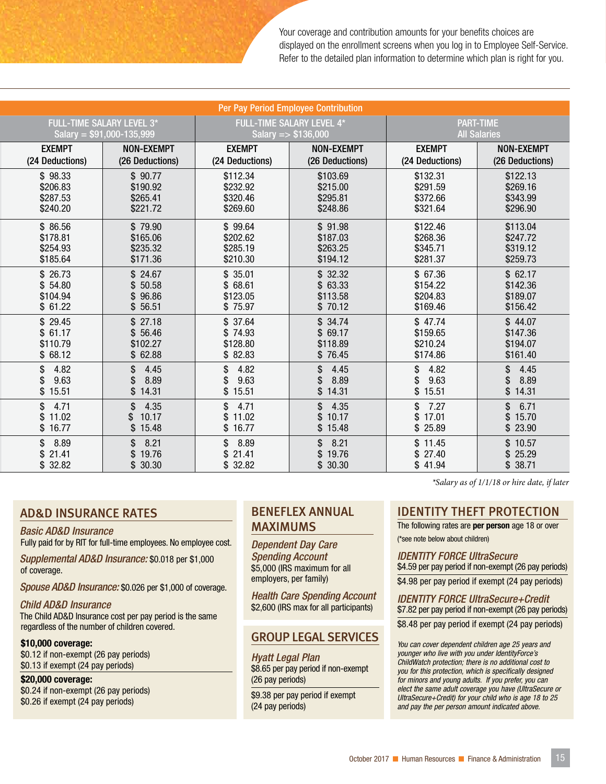Your coverage and contribution amounts for your benefits choices are displayed on the enrollment screens when you log in to Employee Self-Service. Refer to the detailed plan information to determine which plan is right for you.

| Per Pay Period Employee Contribution       |                                      |                                     |                                            |                                     |                                     |  |
|--------------------------------------------|--------------------------------------|-------------------------------------|--------------------------------------------|-------------------------------------|-------------------------------------|--|
| <b>FULL-TIME SALARY LEVEL 3*</b>           |                                      | <b>FULL-TIME SALARY LEVEL 4*</b>    |                                            | <b>PART-TIME</b>                    |                                     |  |
| Salary = $$91,000-135,999$                 |                                      | Salary = $$136,000$                 |                                            | <b>All Salaries</b>                 |                                     |  |
| <b>EXEMPT</b>                              | <b>NON-EXEMPT</b>                    | <b>EXEMPT</b>                       | <b>NON-EXEMPT</b>                          | <b>EXEMPT</b>                       | <b>NON-EXEMPT</b>                   |  |
| (24 Deductions)                            | (26 Deductions)                      | (24 Deductions)                     | (26 Deductions)                            | (24 Deductions)                     | (26 Deductions)                     |  |
| \$98.33                                    | \$90.77                              | \$112.34                            | \$103.69                                   | \$132.31                            | \$122.13                            |  |
| \$206.83                                   | \$190.92                             | \$232.92                            | \$215.00                                   | \$291.59                            | \$269.16                            |  |
| \$287.53                                   | \$265.41                             | \$320.46                            | \$295.81                                   | \$372.66                            | \$343.99                            |  |
| \$240.20                                   | \$221.72                             | \$269.60                            | \$248.86                                   | \$321.64                            | \$296.90                            |  |
| \$86.56                                    | \$79.90                              | \$99.64                             | \$91.98                                    | \$122.46                            | \$113.04                            |  |
| \$178.81                                   | \$165.06                             | \$202.62                            | \$187.03                                   | \$268.36                            | \$247.72                            |  |
| \$254.93                                   | \$235.32                             | \$285.19                            | \$263.25                                   | \$345.71                            | \$319.12                            |  |
| \$185.64                                   | \$171.36                             | \$210.30                            | \$194.12                                   | \$281.37                            | \$259.73                            |  |
| \$26.73                                    | \$24.67                              | \$35.01                             | \$32.32                                    | \$67.36                             | \$62.17                             |  |
| \$54.80                                    | \$50.58                              | \$68.61                             | \$63.33                                    | \$154.22                            | \$142.36                            |  |
| \$104.94                                   | 96.86                                | \$123.05                            | \$113.58                                   | \$204.83                            | \$189.07                            |  |
| \$61.22                                    | \$56.51                              | \$75.97                             | \$70.12                                    | \$169.46                            | \$156.42                            |  |
| \$29.45                                    | \$27.18                              | \$37.64                             | \$34.74                                    | \$47.74                             | \$44.07                             |  |
| \$61.17                                    | \$56.46                              | \$74.93                             | \$69.17                                    | \$159.65                            | \$147.36                            |  |
| \$110.79                                   | \$102.27                             | \$128.80                            | \$118.89                                   | \$210.24                            | \$194.07                            |  |
| \$68.12                                    | \$62.88                              | \$82.83                             | \$76.45                                    | \$174.86                            | \$161.40                            |  |
| 4.82<br>\$<br>9.63<br>\$<br>\$15.51        | 4.45<br>\$<br>8.89<br>\$14.31        | 4.82<br>\$<br>9.63<br>\$<br>\$15.51 | 4.45<br>\$.<br>8.89<br>\$14.31             | 4.82<br>\$<br>9.63<br>\$<br>\$15.51 | 4.45<br>\$<br>8.89<br>\$<br>\$14.31 |  |
| $\mathbf{s}$<br>4.71<br>\$11.02<br>\$16.77 | 4.35<br>\$<br>10.17<br>\$<br>\$15.48 | \$4.71<br>\$11.02<br>\$16.77        | 4.35<br>$\mathbb{S}$<br>\$10.17<br>\$15.48 | \$7.27<br>\$17.01<br>\$25.89        | \$6.71<br>\$15.70<br>\$23.90        |  |
| \$<br>8.89<br>21.41<br>\$<br>\$32.82       | 8.21<br>\$<br>\$19.76<br>\$30.30     | \$8.89<br>\$21.41<br>\$32.82        | 8.21<br>$\mathbb{S}$<br>\$19.76<br>\$30.30 | \$11.45<br>\$27.40<br>\$41.94       | \$10.57<br>\$25.29<br>\$38.71       |  |

#### AD&D INSURANCE RATES

#### *Basic AD&D Insurance*

Fully paid for by RIT for full-time employees. No employee cost.

*Supplemental AD&D Insurance:* \$0.018 per \$1,000 of coverage.

*Spouse AD&D Insurance:* \$0.026 per \$1,000 of coverage.

#### *Child AD&D Insurance*

The Child AD&D Insurance cost per pay period is the same regardless of the number of children covered.

#### \$10,000 coverage:

\$0.12 if non-exempt (26 pay periods) \$0.13 if exempt (24 pay periods)

#### \$20,000 coverage:

\$0.24 if non-exempt (26 pay periods) \$0.26 if exempt (24 pay periods)

#### BENEFLEX ANNUAL MAXIMUMS

*Dependent Day Care Spending Account* \$5,000 (IRS maximum for all employers, per family)

*Health Care Spending Account*  \$2,600 (IRS max for all participants)

#### GROUP LEGAL SERVICES

*Hyatt Legal Plan* \$8.65 per pay period if non-exempt (26 pay periods)

\$9.38 per pay period if exempt (24 pay periods)

*There is a separate schedule for adjunct employees. \*Salary as of 1/1/18 or hire date, if later*

#### IDENTITY THEFT PROTECTION

The following rates are **per person** age 18 or over (\*see note below about children)

*IDENTITY FORCE UltraSecure* \$4.59 per pay period if non-exempt (26 pay periods) \$4.98 per pay period if exempt (24 pay periods)

*IDENTITY FORCE UltraSecure+Credit* \$7.82 per pay period if non-exempt (26 pay periods)

\$8.48 per pay period if exempt (24 pay periods)

*You can cover dependent children age 25 years and younger who live with you under IdentityForce's ChildWatch protection; there is no additional cost to you for this protection, which is specifically designed for minors and young adults. If you prefer, you can elect the same adult coverage you have (UltraSecure or UltraSecure+Credit) for your child who is age 18 to 25 and pay the per person amount indicated above.*